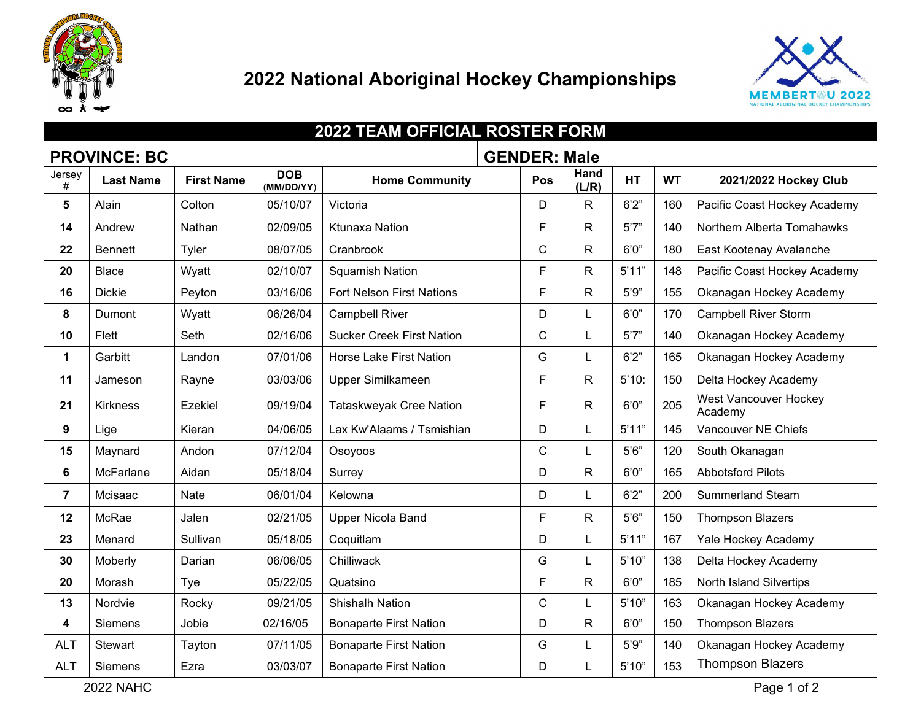

## **National Aboriginal Hockey Championships**



| <b>2022 TEAM OFFICIAL ROSTER FORM</b>      |                  |                   |                          |                                  |  |              |               |           |           |                                         |
|--------------------------------------------|------------------|-------------------|--------------------------|----------------------------------|--|--------------|---------------|-----------|-----------|-----------------------------------------|
| <b>PROVINCE: BC</b><br><b>GENDER: Male</b> |                  |                   |                          |                                  |  |              |               |           |           |                                         |
| Jersey<br>#                                | <b>Last Name</b> | <b>First Name</b> | <b>DOB</b><br>(MM/DD/YY) | <b>Home Community</b>            |  | Pos          | Hand<br>(L/R) | <b>HT</b> | <b>WT</b> | 2021/2022 Hockey Club                   |
| 5                                          | Alain            | Colton            | 05/10/07                 | Victoria                         |  | D            | $\mathsf{R}$  | 6'2''     | 160       | Pacific Coast Hockey Academy            |
| 14                                         | Andrew           | Nathan            | 02/09/05                 | <b>Ktunaxa Nation</b>            |  | F            | $\mathsf{R}$  | 5'7''     | 140       | Northern Alberta Tomahawks              |
| 22                                         | <b>Bennett</b>   | Tyler             | 08/07/05                 | Cranbrook                        |  | $\mathsf{C}$ | $\mathsf{R}$  | 6'0''     | 180       | East Kootenay Avalanche                 |
| 20                                         | <b>Blace</b>     | Wyatt             | 02/10/07                 | <b>Squamish Nation</b>           |  | F            | $\mathsf{R}$  | 5'11"     | 148       | Pacific Coast Hockey Academy            |
| 16                                         | <b>Dickie</b>    | Peyton            | 03/16/06                 | <b>Fort Nelson First Nations</b> |  | F            | $\mathsf{R}$  | 5'9"      | 155       | Okanagan Hockey Academy                 |
| 8                                          | Dumont           | Wyatt             | 06/26/04                 | <b>Campbell River</b>            |  | D            | L             | 6'0''     | 170       | <b>Campbell River Storm</b>             |
| 10                                         | Flett            | Seth              | 02/16/06                 | <b>Sucker Creek First Nation</b> |  | $\mathsf{C}$ | L             | 5'7''     | 140       | Okanagan Hockey Academy                 |
| $\mathbf 1$                                | Garbitt          | Landon            | 07/01/06                 | Horse Lake First Nation          |  | G            |               | 6'2''     | 165       | Okanagan Hockey Academy                 |
| 11                                         | Jameson          | Rayne             | 03/03/06                 | Upper Similkameen                |  | F.           | $\mathsf R$   | 5'10:     | 150       | Delta Hockey Academy                    |
| 21                                         | <b>Kirkness</b>  | Ezekiel           | 09/19/04                 | <b>Tataskweyak Cree Nation</b>   |  | F            | $\mathsf{R}$  | 6'0''     | 205       | <b>West Vancouver Hockey</b><br>Academy |
| 9                                          | Lige             | Kieran            | 04/06/05                 | Lax Kw'Alaams / Tsmishian        |  | D            | L             | 5'11"     | 145       | Vancouver NE Chiefs                     |
| 15                                         | Maynard          | Andon             | 07/12/04                 | Osoyoos                          |  | $\mathsf{C}$ |               | 5'6''     | 120       | South Okanagan                          |
| 6                                          | McFarlane        | Aidan             | 05/18/04                 | Surrey                           |  | D            | $\mathsf{R}$  | 6'0''     | 165       | <b>Abbotsford Pilots</b>                |
| $\overline{7}$                             | Mcisaac          | Nate              | 06/01/04                 | Kelowna                          |  | D            |               | 6'2''     | 200       | <b>Summerland Steam</b>                 |
| 12                                         | McRae            | Jalen             | 02/21/05                 | <b>Upper Nicola Band</b>         |  | F            | $\mathsf{R}$  | 5'6''     | 150       | <b>Thompson Blazers</b>                 |
| 23                                         | Menard           | Sullivan          | 05/18/05                 | Coquitlam                        |  | D            |               | 5'11"     | 167       | Yale Hockey Academy                     |
| 30                                         | Moberly          | Darian            | 06/06/05                 | Chilliwack                       |  | G            |               | 5'10"     | 138       | Delta Hockey Academy                    |
| 20                                         | Morash           | Tye               | 05/22/05                 | Quatsino                         |  | F            | $\mathsf{R}$  | 6'0''     | 185       | North Island Silvertips                 |
| 13                                         | Nordvie          | Rocky             | 09/21/05                 | <b>Shishalh Nation</b>           |  | $\mathsf{C}$ | L             | 5'10"     | 163       | Okanagan Hockey Academy                 |
| 4                                          | <b>Siemens</b>   | Jobie             | 02/16/05                 | <b>Bonaparte First Nation</b>    |  | D            | $\mathsf{R}$  | 6'0''     | 150       | <b>Thompson Blazers</b>                 |
| <b>ALT</b>                                 | Stewart          | Tayton            | 07/11/05                 | <b>Bonaparte First Nation</b>    |  | G            | L             | 5'9''     | 140       | Okanagan Hockey Academy                 |
| <b>ALT</b>                                 | <b>Siemens</b>   | Ezra              | 03/03/07                 | <b>Bonaparte First Nation</b>    |  | D            |               | 5'10"     | 153       | <b>Thompson Blazers</b>                 |